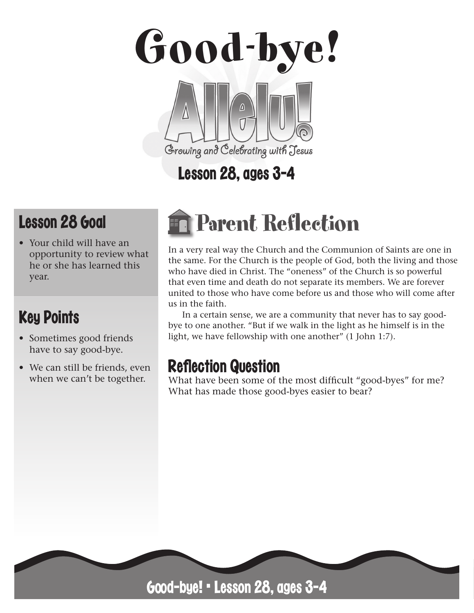

# Lesson 28, ages 3-4

# Lesson 28 Goal

• Your child will have an opportunity to review what he or she has learned this year.

# Key Points

- Sometimes good friends have to say good-bye.
- We can still be friends, even when we can't be together.

# Parent Reflection

In a very real way the Church and the Communion of Saints are one in the same. For the Church is the people of God, both the living and those who have died in Christ. The "oneness" of the Church is so powerful that even time and death do not separate its members. We are forever united to those who have come before us and those who will come after us in the faith.

In a certain sense, we are a community that never has to say goodbye to one another. "But if we walk in the light as he himself is in the light, we have fellowship with one another" (1 John 1:7).

# **Reflection Question**

What have been some of the most difficult "good-byes" for me? What has made those good-byes easier to bear?

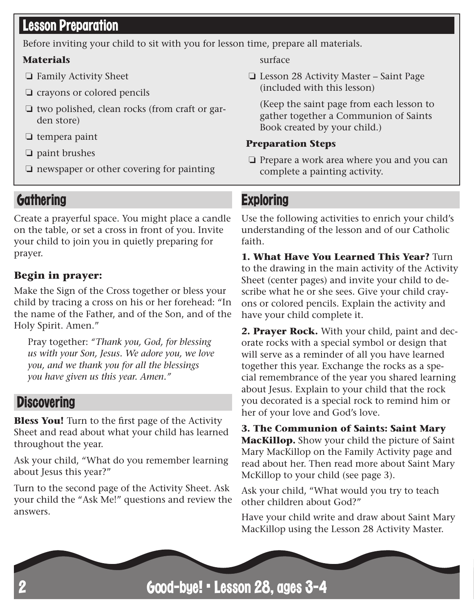# Lesson Preparation

Before inviting your child to sit with you for lesson time, prepare all materials.

#### **Materials**

- ❏ Family Activity Sheet
- ❏ crayons or colored pencils
- ❏ two polished, clean rocks (from craft or garden store)
- ❏ tempera paint
- ❏ paint brushes
- ❏ newspaper or other covering for painting

## **Gathering**

Create a prayerful space. You might place a candle on the table, or set a cross in front of you. Invite your child to join you in quietly preparing for prayer.

#### **Begin in prayer:**

Make the Sign of the Cross together or bless your child by tracing a cross on his or her forehead: "In the name of the Father, and of the Son, and of the Holy Spirit. Amen."

Pray together: *"Thank you, God, for blessing us with your Son, Jesus. We adore you, we love you, and we thank you for all the blessings you have given us this year. Amen."*

### **Discovering**

**Bless You!** Turn to the first page of the Activity Sheet and read about what your child has learned throughout the year.

Ask your child, "What do you remember learning about Jesus this year?"

Turn to the second page of the Activity Sheet. Ask your child the "Ask Me!" questions and review the answers.

surface

❏ Lesson 28 Activity Master – Saint Page (included with this lesson)

(Keep the saint page from each lesson to gather together a Communion of Saints Book created by your child.)

#### **Preparation Steps**

❏ Prepare a work area where you and you can complete a painting activity.

## **Exploring**

Use the following activities to enrich your child's understanding of the lesson and of our Catholic faith.

**1. What Have You Learned This Year?** Turn to the drawing in the main activity of the Activity Sheet (center pages) and invite your child to describe what he or she sees. Give your child crayons or colored pencils. Explain the activity and have your child complete it.

**2. Prayer Rock.** With your child, paint and decorate rocks with a special symbol or design that will serve as a reminder of all you have learned together this year. Exchange the rocks as a special remembrance of the year you shared learning about Jesus. Explain to your child that the rock you decorated is a special rock to remind him or her of your love and God's love.

**3. The Communion of Saints: Saint Mary MacKillop.** Show your child the picture of Saint Mary MacKillop on the Family Activity page and read about her. Then read more about Saint Mary McKillop to your child (see page 3).

Ask your child, "What would you try to teach other children about God?"

Have your child write and draw about Saint Mary MacKillop using the Lesson 28 Activity Master.

Good-bye! • Lesson 28, ages 3-4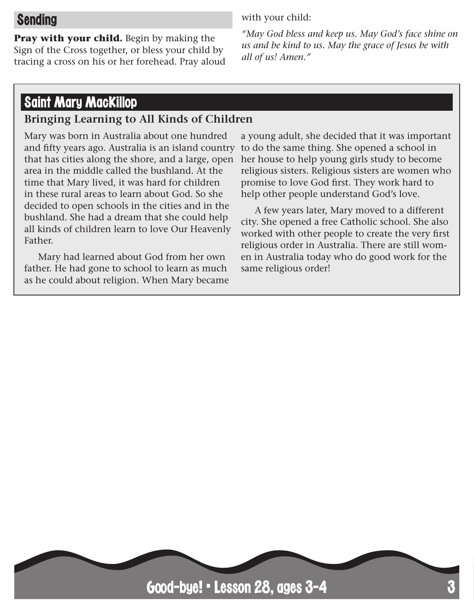# Sending

**Pray with your child.** Begin by making the Sign of the Cross together, or bless your child by tracing a cross on his or her forehead. Pray aloud with your child:

*"May God bless and keep us. May God's face shine on us and be kind to us. May the grace of Jesus be with all of us! Amen."*

## Saint Mary MacKillop

#### **Bringing Learning to All Kinds of Children**

Mary was born in Australia about one hundred and fifty years ago. Australia is an island country that has cities along the shore, and a large, open area in the middle called the bushland. At the time that Mary lived, it was hard for children in these rural areas to learn about God. So she decided to open schools in the cities and in the bushland. She had a dream that she could help all kinds of children learn to love Our Heavenly Father.

Mary had learned about God from her own father. He had gone to school to learn as much as he could about religion. When Mary became

a young adult, she decided that it was important to do the same thing. She opened a school in her house to help young girls study to become religious sisters. Religious sisters are women who promise to love God first. They work hard to help other people understand God's love.

A few years later, Mary moved to a different city. She opened a free Catholic school. She also worked with other people to create the very first religious order in Australia. There are still women in Australia today who do good work for the same religious order!